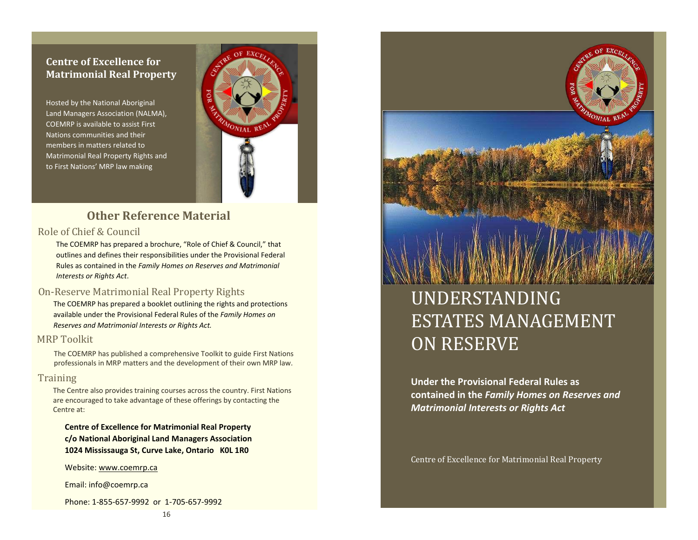### **Centre of Excellence for Matrimonial Real Property**

Hosted by the National Aboriginal Land Managers Association (NALMA), COEMRP is available to assist First Nations communities and their members in matters related to Matrimonial Real Property Rights and to First Nations' MRP law making



### **Other Reference Material**

#### Role of Chief & Council

The COEMRP has prepared a brochure, "Role of Chief & Council," that outlines and defines their responsibilities under the Provisional Federal Rules as contained in the *Family Homes on Reserves and Matrimonial Interests or Rights Act*.

#### On-Reserve Matrimonial Real Property Rights

The COEMRP has prepared a booklet outlining the rights and protections available under the Provisional Federal Rules of the *Family Homes on Reserves and Matrimonial Interests or Rights Act.* 

#### MRP Toolkit

The COEMRP has published a comprehensive Toolkit to guide First Nations professionals in MRP matters and the development of their own MRP law.

#### **Training**

The Centre also provides training courses across the country. First Nations are encouraged to take advantage of these offerings by contacting the Centre at:

**Centre of Excellence for Matrimonial Real Property c/o National Aboriginal Land Managers Association 1024 Mississauga St, Curve Lake, Ontario K0L 1R0** 

Website: [www.coemrp.ca](http://www.coemrp.ca/) 

Email: info@coemrp.ca

Phone: 1-855-657-9992 or 1-705-657-9992



### UNDERSTANDING ESTATES MANAGEMENT ON RESERVE

**Under the Provisional Federal Rules as contained in the** *Family Homes on Reserves and Matrimonial Interests or Rights Act*

Centre of Excellence for Matrimonial Real Property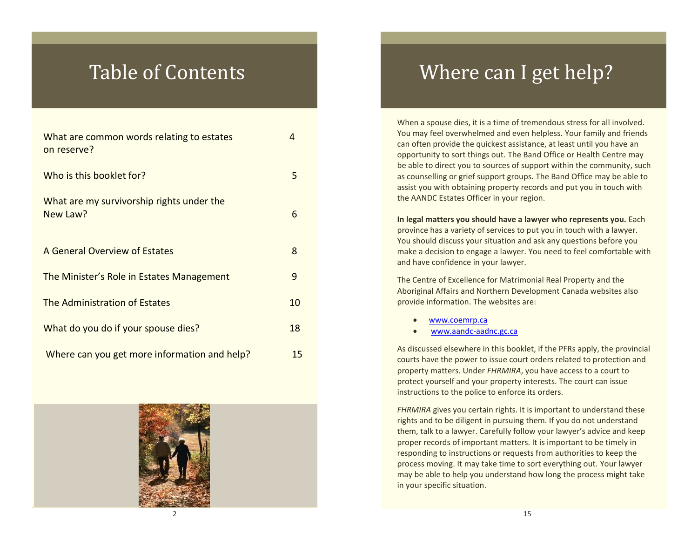| What are common words relating to estates<br>on reserve? | 4  |
|----------------------------------------------------------|----|
| Who is this booklet for?                                 | 5  |
| What are my survivorship rights under the<br>New Law?    | 6  |
| A General Overview of Estates                            | 8  |
| The Minister's Role in Estates Management                | 9  |
| The Administration of Estates                            | 10 |
| What do you do if your spouse dies?                      | 18 |
| Where can you get more information and help?             | 15 |



### Table of Contents **Where Can I get help?**

When a spouse dies, it is a time of tremendous stress for all involved. You may feel overwhelmed and even helpless. Your family and friends can often provide the quickest assistance, at least until you have an opportunity to sort things out. The Band Office or Health Centre may be able to direct you to sources of support within the community, such as counselling or grief support groups. The Band Office may be able to assist you with obtaining property records and put you in touch with the AANDC Estates Officer in your region.

**In legal matters you should have a lawyer who represents you.** Each province has a variety of services to put you in touch with a lawyer. You should discuss your situation and ask any questions before you make a decision to engage a lawyer. You need to feel comfortable with and have confidence in your lawyer.

The Centre of Excellence for Matrimonial Real Property and the Aboriginal Affairs and Northern Development Canada websites also provide information. The websites are:

- [www.coemrp.ca](http://www.coemrp.ca/)
- [www.aandc-aadnc.gc.ca](http://www.aandc-aadnc.gc.ca/)

As discussed elsewhere in this booklet, if the PFRs apply, the provincial courts have the power to issue court orders related to protection and property matters. Under *FHRMIRA*, you have access to a court to protect yourself and your property interests. The court can issue instructions to the police to enforce its orders.

*FHRMIRA* gives you certain rights. It is important to understand these rights and to be diligent in pursuing them. If you do not understand them, talk to a lawyer. Carefully follow your lawyer's advice and keep proper records of important matters. It is important to be timely in responding to instructions or requests from authorities to keep the process moving. It may take time to sort everything out. Your lawyer may be able to help you understand how long the process might take in your specific situation.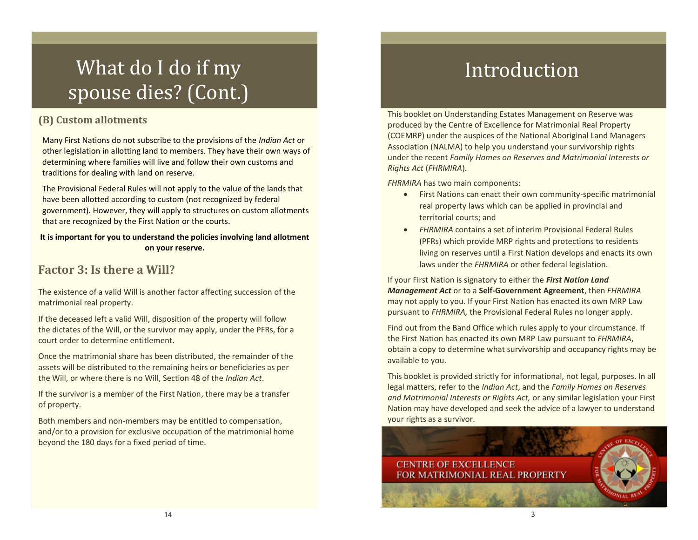# What do I do if my spouse dies? (Cont.)

### **(B) Custom allotments**

Many First Nations do not subscribe to the provisions of the *Indian Act* or other legislation in allotting land to members. They have their own ways of determining where families will live and follow their own customs and traditions for dealing with land on reserve.

The Provisional Federal Rules will not apply to the value of the lands that have been allotted according to custom (not recognized by federal government). However, they will apply to structures on custom allotments that are recognized by the First Nation or the courts.

#### **It is important for you to understand the policies involving land allotment on your reserve.**

### **Factor 3: Is there a Will?**

The existence of a valid Will is another factor affecting succession of the matrimonial real property.

If the deceased left a valid Will, disposition of the property will follow the dictates of the Will, or the survivor may apply, under the PFRs, for a court order to determine entitlement.

Once the matrimonial share has been distributed, the remainder of the assets will be distributed to the remaining heirs or beneficiaries as per the Will, or where there is no Will, Section 48 of the *Indian Act*.

If the survivor is a member of the First Nation, there may be a transfer of property.

Both members and non-members may be entitled to compensation, and/or to a provision for exclusive occupation of the matrimonial home beyond the 180 days for a fixed period of time.

# Introduction

This booklet on Understanding Estates Management on Reserve was produced by the Centre of Excellence for Matrimonial Real Property (COEMRP) under the auspices of the National Aboriginal Land Managers Association (NALMA) to help you understand your survivorship rights under the recent *Family Homes on Reserves and Matrimonial Interests or Rights Act* (*FHRMIRA*).

*FHRMIRA* has two main components:

- First Nations can enact their own community-specific matrimonial real property laws which can be applied in provincial and territorial courts; and
- *FHRMIRA* contains a set of interim Provisional Federal Rules (PFRs) which provide MRP rights and protections to residents living on reserves until a First Nation develops and enacts its own laws under the *FHRMIRA* or other federal legislation.

If your First Nation is signatory to either the *First Nation Land Management Act* or to a **Self-Government Agreement**, then *FHRMIRA* may not apply to you. If your First Nation has enacted its own MRP Law pursuant to *FHRMIRA,* the Provisional Federal Rules no longer apply.

Find out from the Band Office which rules apply to your circumstance. If the First Nation has enacted its own MRP Law pursuant to *FHRMIRA*, obtain a copy to determine what survivorship and occupancy rights may be available to you.

This booklet is provided strictly for informational, not legal, purposes. In all legal matters, refer to the *Indian Act*, and the *Family Homes on Reserves and Matrimonial Interests or Rights Act,* or any similar legislation your First Nation may have developed and seek the advice of a lawyer to understand your rights as a survivor.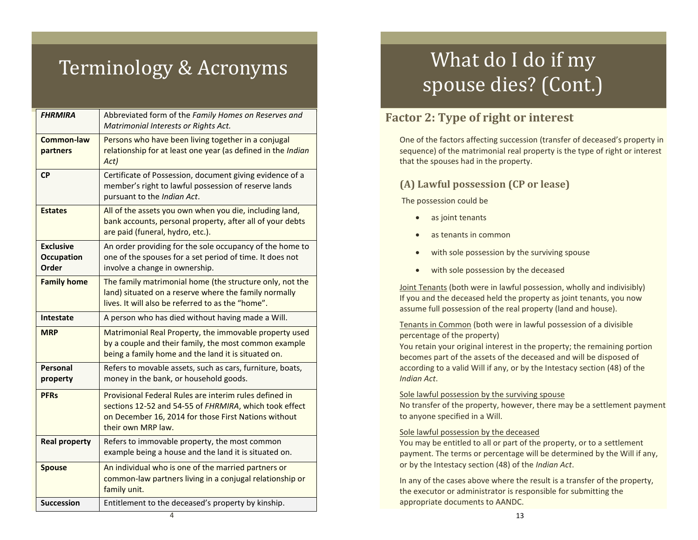# Terminology & Acronyms

| <b>FHRMIRA</b>                                 | Abbreviated form of the Family Homes on Reserves and<br>Matrimonial Interests or Rights Act.                                                                                                   |
|------------------------------------------------|------------------------------------------------------------------------------------------------------------------------------------------------------------------------------------------------|
| Common-law<br>partners                         | Persons who have been living together in a conjugal<br>relationship for at least one year (as defined in the Indian<br>Act)                                                                    |
| <b>CP</b>                                      | Certificate of Possession, document giving evidence of a<br>member's right to lawful possession of reserve lands<br>pursuant to the Indian Act.                                                |
| <b>Estates</b>                                 | All of the assets you own when you die, including land,<br>bank accounts, personal property, after all of your debts<br>are paid (funeral, hydro, etc.).                                       |
| <b>Exclusive</b><br><b>Occupation</b><br>Order | An order providing for the sole occupancy of the home to<br>one of the spouses for a set period of time. It does not<br>involve a change in ownership.                                         |
| <b>Family home</b>                             | The family matrimonial home (the structure only, not the<br>land) situated on a reserve where the family normally<br>lives. It will also be referred to as the "home".                         |
| <b>Intestate</b>                               | A person who has died without having made a Will.                                                                                                                                              |
| <b>MRP</b>                                     | Matrimonial Real Property, the immovable property used<br>by a couple and their family, the most common example<br>being a family home and the land it is situated on.                         |
| Personal<br>property                           | Refers to movable assets, such as cars, furniture, boats,<br>money in the bank, or household goods.                                                                                            |
| <b>PFRs</b>                                    | Provisional Federal Rules are interim rules defined in<br>sections 12-52 and 54-55 of FHRMIRA, which took effect<br>on December 16, 2014 for those First Nations without<br>their own MRP law. |
| <b>Real property</b>                           | Refers to immovable property, the most common<br>example being a house and the land it is situated on.                                                                                         |
| <b>Spouse</b>                                  | An individual who is one of the married partners or<br>common-law partners living in a conjugal relationship or<br>family unit.                                                                |
| <b>Succession</b>                              | Entitlement to the deceased's property by kinship.                                                                                                                                             |

# What do I do if my spouse dies? (Cont.)

### **Factor 2: Type of right or interest**

One of the factors affecting succession (transfer of deceased's property in sequence) of the matrimonial real property is the type of right or interest that the spouses had in the property.

### **(A) Lawful possession (CP or lease)**

The possession could be

- as joint tenants
- as tenants in common
- with sole possession by the surviving spouse
- with sole possession by the deceased

Joint Tenants (both were in lawful possession, wholly and indivisibly) If you and the deceased held the property as joint tenants, you now assume full possession of the real property (land and house).

#### Tenants in Common (both were in lawful possession of a divisible percentage of the property)

You retain your original interest in the property; the remaining portion becomes part of the assets of the deceased and will be disposed of according to a valid Will if any, or by the Intestacy section (48) of the *Indian Act*.

#### Sole lawful possession by the surviving spouse

No transfer of the property, however, there may be a settlement payment to anyone specified in a Will.

#### Sole lawful possession by the deceased

You may be entitled to all or part of the property, or to a settlement payment. The terms or percentage will be determined by the Will if any, or by the Intestacy section (48) of the *Indian Act*.

In any of the cases above where the result is a transfer of the property, the executor or administrator is responsible for submitting the appropriate documents to AANDC.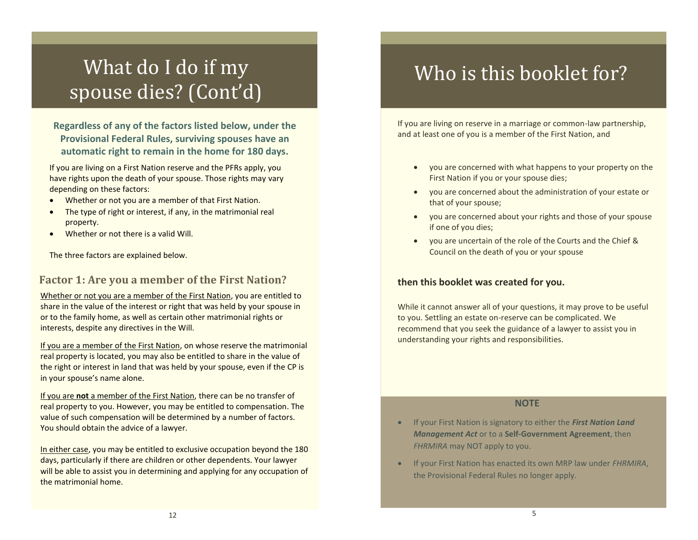# What do I do if my spouse dies? (Cont'd)

**Regardless of any of the factors listed below, under the Provisional Federal Rules, surviving spouses have an automatic right to remain in the home for 180 days.** 

If you are living on a First Nation reserve and the PFRs apply, you have rights upon the death of your spouse. Those rights may vary depending on these factors:

- Whether or not you are a member of that First Nation.
- The type of right or interest, if any, in the matrimonial real property.
- Whether or not there is a valid Will.

The three factors are explained below.

#### **Factor 1: Are you a member of the First Nation?**

Whether or not you are a member of the First Nation, you are entitled to share in the value of the interest or right that was held by your spouse in or to the family home, as well as certain other matrimonial rights or interests, despite any directives in the Will.

If you are a member of the First Nation, on whose reserve the matrimonial real property is located, you may also be entitled to share in the value of the right or interest in land that was held by your spouse, even if the CP is in your spouse's name alone.

If you are **not** a member of the First Nation, there can be no transfer of real property to you. However, you may be entitled to compensation. The value of such compensation will be determined by a number of factors. You should obtain the advice of a lawyer.

In either case, you may be entitled to exclusive occupation beyond the 180 days, particularly if there are children or other dependents. Your lawyer will be able to assist you in determining and applying for any occupation of the matrimonial home.

### Who is this booklet for?

If you are living on reserve in a marriage or common-law partnership, and at least one of you is a member of the First Nation, and

- you are concerned with what happens to your property on the First Nation if you or your spouse dies;
- you are concerned about the administration of your estate or that of your spouse;
- you are concerned about your rights and those of your spouse if one of you dies;
- you are uncertain of the role of the Courts and the Chief & Council on the death of you or your spouse

#### **then this booklet was created for you.**

While it cannot answer all of your questions, it may prove to be useful to you. Settling an estate on-reserve can be complicated. We recommend that you seek the guidance of a lawyer to assist you in understanding your rights and responsibilities.

#### **NOTE**

- If your First Nation is signatory to either the *First Nation Land Management Act* or to a **Self-Government Agreement**, then *FHRMIRA* may NOT apply to you.
- If your First Nation has enacted its own MRP law under *FHRMIRA*, the Provisional Federal Rules no longer apply.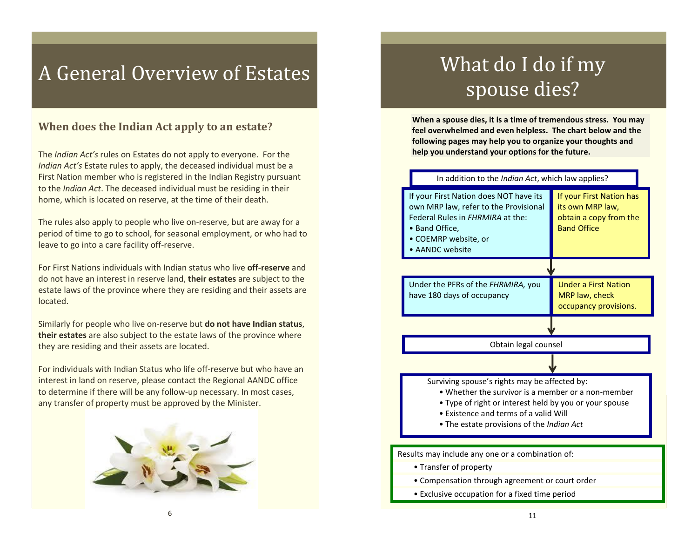### A General Overview of Estates

### **When does the Indian Act apply to an estate?**

The *Indian Act's* rules on Estates do not apply to everyone. For the *Indian Act's* Estate rules to apply, the deceased individual must be a First Nation member who is registered in the Indian Registry pursuant to the *Indian Act*. The deceased individual must be residing in their home, which is located on reserve, at the time of their death.

The rules also apply to people who live on-reserve, but are away for a period of time to go to school, for seasonal employment, or who had to leave to go into a care facility off-reserve.

For First Nations individuals with Indian status who live **off-reserve** and do not have an interest in reserve land, **their estates** are subject to the estate laws of the province where they are residing and their assets are located.

Similarly for people who live on-reserve but **do not have Indian status**, **their estates** are also subject to the estate laws of the province where they are residing and their assets are located.

For individuals with Indian Status who life off-reserve but who have an interest in land on reserve, please contact the Regional AANDC office to determine if there will be any follow-up necessary. In most cases, any transfer of property must be approved by the Minister.



# What do I do if my spouse dies?

**When a spouse dies, it is a time of tremendous stress. You may feel overwhelmed and even helpless. The chart below and the following pages may help you to organize your thoughts and help you understand your options for the future.** 

#### In addition to the *Indian Act*, which law applies?



- Compensation through agreement or court order
- Exclusive occupation for a fixed time period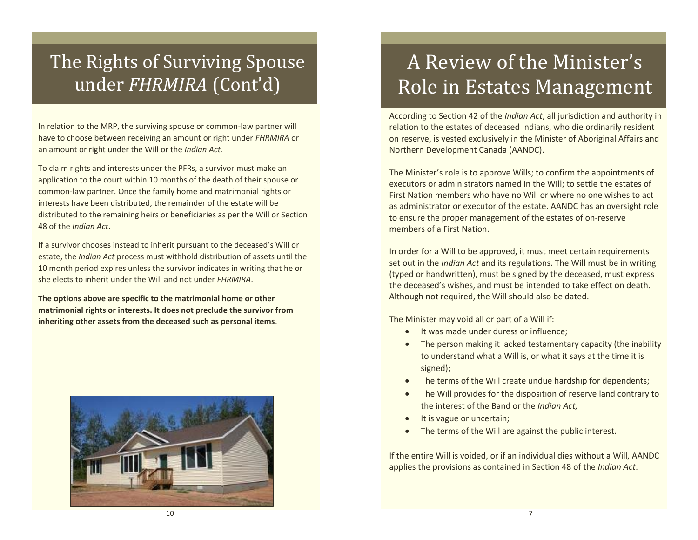### The Rights of Surviving Spouse under *FHRMIRA* (Cont'd)

In relation to the MRP, the surviving spouse or common-law partner will have to choose between receiving an amount or right under *FHRMIRA* or an amount or right under the Will or the *Indian Act.*

To claim rights and interests under the PFRs, a survivor must make an application to the court within 10 months of the death of their spouse or common-law partner. Once the family home and matrimonial rights or interests have been distributed, the remainder of the estate will be distributed to the remaining heirs or beneficiaries as per the Will or Section 48 of the *Indian Act*.

If a survivor chooses instead to inherit pursuant to the deceased's Will or estate, the *Indian Act* process must withhold distribution of assets until the 10 month period expires unless the survivor indicates in writing that he or she elects to inherit under the Will and not under *FHRMIRA*.

**The options above are specific to the matrimonial home or other matrimonial rights or interests. It does not preclude the survivor from inheriting other assets from the deceased such as personal items**.



# A Review of the Minister's Role in Estates Management

According to Section 42 of the *Indian Act*, all jurisdiction and authority in relation to the estates of deceased Indians, who die ordinarily resident on reserve, is vested exclusively in the Minister of Aboriginal Affairs and Northern Development Canada (AANDC).

The Minister's role is to approve Wills; to confirm the appointments of executors or administrators named in the Will; to settle the estates of First Nation members who have no Will or where no one wishes to act as administrator or executor of the estate. AANDC has an oversight role to ensure the proper management of the estates of on-reserve members of a First Nation.

In order for a Will to be approved, it must meet certain requirements set out in the *Indian Act* and its regulations. The Will must be in writing (typed or handwritten), must be signed by the deceased, must express the deceased's wishes, and must be intended to take effect on death. Although not required, the Will should also be dated.

The Minister may void all or part of a Will if:

- **•** It was made under duress or influence;
- The person making it lacked testamentary capacity (the inability to understand what a Will is, or what it says at the time it is signed);
- The terms of the Will create undue hardship for dependents;
- The Will provides for the disposition of reserve land contrary to the interest of the Band or the *Indian Act;*
- It is vague or uncertain;
- The terms of the Will are against the public interest.

If the entire Will is voided, or if an individual dies without a Will, AANDC applies the provisions as contained in Section 48 of the *Indian Act*.